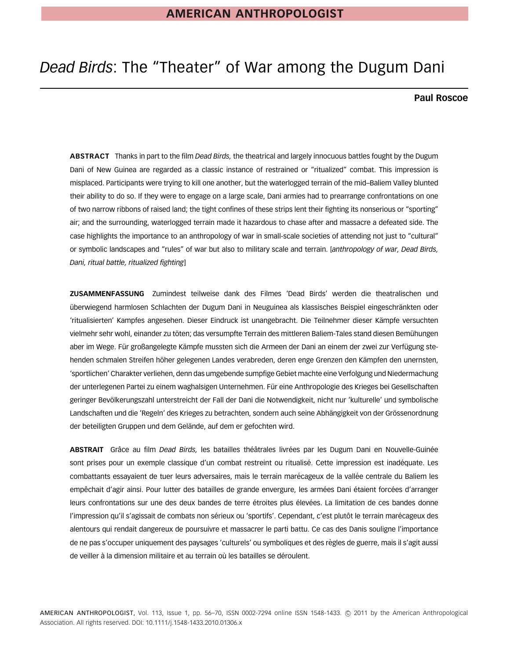# *Dead Birds*: The "Theater" of War among the Dugum Dani

## **Paul Roscoe**

**ABSTRACT** Thanks in part to the film *Dead Birds,* the theatrical and largely innocuous battles fought by the Dugum Dani of New Guinea are regarded as a classic instance of restrained or "ritualized" combat. This impression is misplaced. Participants were trying to kill one another, but the waterlogged terrain of the mid–Baliem Valley blunted their ability to do so. If they were to engage on a large scale, Dani armies had to prearrange confrontations on one of two narrow ribbons of raised land; the tight confines of these strips lent their fighting its nonserious or "sporting" air; and the surrounding, waterlogged terrain made it hazardous to chase after and massacre a defeated side. The case highlights the importance to an anthropology of war in small-scale societies of attending not just to "cultural" or symbolic landscapes and "rules" of war but also to military scale and terrain. [*anthropology of war, Dead Birds, Dani, ritual battle, ritualized fighting*]

**ZUSAMMENFASSUNG** Zumindest teilweise dank des Filmes 'Dead Birds' werden die theatralischen und überwiegend harmlosen Schlachten der Dugum Dani in Neuguinea als klassisches Beispiel eingeschränkten oder 'ritualisierten' Kampfes angesehen. Dieser Eindruck ist unangebracht. Die Teilnehmer dieser Kämpfe versuchten vielmehr sehr wohl, einander zu töten; das versumpfte Terrain des mittleren Baliem-Tales stand diesen Bemühungen aber im Wege. Für großangelegte Kämpfe mussten sich die Armeen der Dani an einem der zwei zur Verfügung stehenden schmalen Streifen höher gelegenen Landes verabreden, deren enge Grenzen den Kämpfen den unernsten, 'sportlichen' Charakter verliehen, denn das umgebende sumpfige Gebiet machte eine Verfolgung und Niedermachung der unterlegenen Partei zu einem waghalsigen Unternehmen. Für eine Anthropologie des Krieges bei Gesellschaften geringer Bevölkerungszahl unterstreicht der Fall der Dani die Notwendigkeit, nicht nur 'kulturelle' und symbolische Landschaften und die 'Regeln' des Krieges zu betrachten, sondern auch seine Abhängigkeit von der Grössenordnung der beteiligten Gruppen und dem Gelände, auf dem er gefochten wird.

ABSTRAIT Grâce au film *Dead Birds*, les batailles théâtrales livrées par les Dugum Dani en Nouvelle-Guinée sont prises pour un exemple classique d'un combat restreint ou ritualisé. Cette impression est inadéquate. Les combattants essayaient de tuer leurs adversaires, mais le terrain marécageux de la vallée centrale du Baliem les empêchait d'agir ainsi. Pour lutter des batailles de grande envergure, les armées Dani étaient forcées d'arranger leurs confrontations sur une des deux bandes de terre étroites plus élevées. La limitation de ces bandes donne l'impression qu'il s'agissait de combats non sérieux ou 'sportifs'. Cependant, c'est plutôt le terrain marécageux des alentours qui rendait dangereux de poursuivre et massacrer le parti battu. Ce cas des Danis souligne l'importance de ne pas s'occuper uniquement des paysages 'culturels' ou symboliques et des regles de guerre, mais il s'agit aussi ` de veiller à la dimension militaire et au terrain où les batailles se déroulent.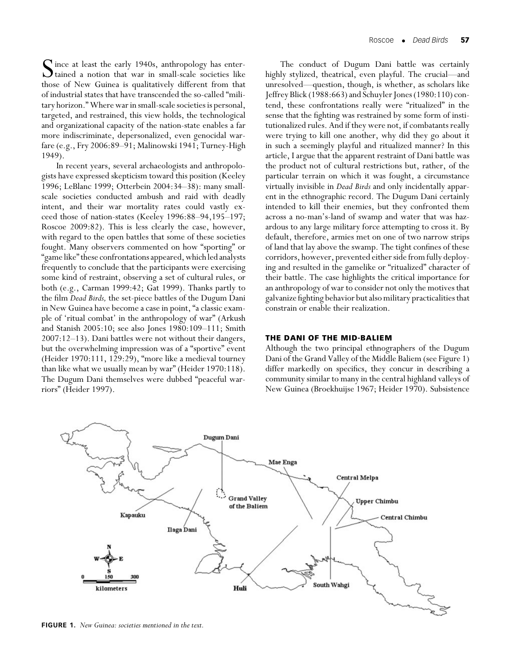Since at least the early 1940s, anthropology has enter-<br>tained a notion that war in small-scale societies like<br>those of New Guinea is qualitatively different from that those of New Guinea is qualitatively different from that of industrial states that have transcended the so-called "military horizon." Where war in small-scale societies is personal, targeted, and restrained, this view holds, the technological and organizational capacity of the nation-state enables a far more indiscriminate, depersonalized, even genocidal warfare (e.g., Fry 2006:89–91; Malinowski 1941; Turney-High 1949).

In recent years, several archaeologists and anthropologists have expressed skepticism toward this position (Keeley 1996; LeBlanc 1999; Otterbein 2004:34–38): many smallscale societies conducted ambush and raid with deadly intent, and their war mortality rates could vastly exceed those of nation-states (Keeley 1996:88–94,195–197; Roscoe 2009:82). This is less clearly the case, however, with regard to the open battles that some of these societies fought. Many observers commented on how "sporting" or "game like"these confrontations appeared,which led analysts frequently to conclude that the participants were exercising some kind of restraint, observing a set of cultural rules, or both (e.g., Carman 1999:42; Gat 1999). Thanks partly to the film *Dead Birds,* the set-piece battles of the Dugum Dani in New Guinea have become a case in point, "a classic example of 'ritual combat' in the anthropology of war" (Arkush and Stanish 2005:10; see also Jones 1980:109–111; Smith 2007:12–13). Dani battles were not without their dangers, but the overwhelming impression was of a "sportive" event (Heider 1970:111, 129:29), "more like a medieval tourney than like what we usually mean by war" (Heider 1970:118). The Dugum Dani themselves were dubbed "peaceful warriors" (Heider 1997).

The conduct of Dugum Dani battle was certainly highly stylized, theatrical, even playful. The crucial—and unresolved—question, though, is whether, as scholars like Jeffrey Blick (1988:663) and Schuyler Jones (1980:110) contend, these confrontations really were "ritualized" in the sense that the fighting was restrained by some form of institutionalized rules. And if they were not, if combatants really were trying to kill one another, why did they go about it in such a seemingly playful and ritualized manner? In this article, I argue that the apparent restraint of Dani battle was the product not of cultural restrictions but, rather, of the particular terrain on which it was fought, a circumstance virtually invisible in *Dead Birds* and only incidentally apparent in the ethnographic record. The Dugum Dani certainly intended to kill their enemies, but they confronted them across a no-man's-land of swamp and water that was hazardous to any large military force attempting to cross it. By default, therefore, armies met on one of two narrow strips of land that lay above the swamp. The tight confines of these corridors, however, prevented either side from fully deploying and resulted in the gamelike or "ritualized" character of their battle. The case highlights the critical importance for an anthropology of war to consider not only the motives that galvanize fighting behavior but also military practicalitiesthat constrain or enable their realization.

## **THE DANI OF THE MID-BALIEM**

Although the two principal ethnographers of the Dugum Dani of the Grand Valley of the Middle Baliem (see Figure 1) differ markedly on specifics, they concur in describing a community similar to many in the central highland valleys of New Guinea (Broekhuijse 1967; Heider 1970). Subsistence



**FIGURE 1.** *New Guinea: societies mentioned in the text.*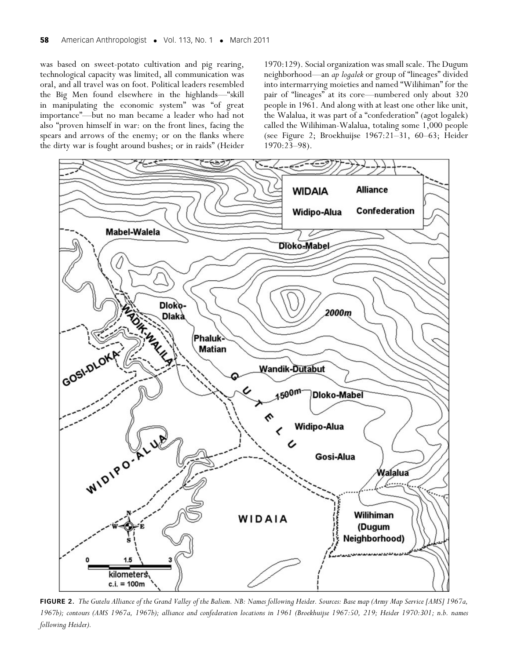was based on sweet-potato cultivation and pig rearing, technological capacity was limited, all communication was oral, and all travel was on foot. Political leaders resembled the Big Men found elsewhere in the highlands—"skill in manipulating the economic system" was "of great importance"—but no man became a leader who had not also "proven himself in war: on the front lines, facing the spears and arrows of the enemy; or on the flanks where the dirty war is fought around bushes; or in raids" (Heider

1970:129). Social organization was small scale. The Dugum neighborhood—an *ap logalek* or group of "lineages" divided into intermarrying moieties and named "Wilihiman" for the pair of "lineages" at its core—numbered only about 320 people in 1961. And along with at least one other like unit, the Walalua, it was part of a "confederation" (agot logalek) called the Wilihiman-Walalua, totaling some 1,000 people (see Figure 2; Broekhuijse 1967:21–31, 60–63; Heider 1970:23–98).



**FIGURE 2.** *The Gutelu Alliance of the Grand Valley of the Baliem. NB: Names following Heider. Sources: Base map (Army Map Service [AMS] 1967a, 1967b); contours (AMS 1967a, 1967b); alliance and confederation locations in 1961 (Broekhuijse 1967:50, 219; Heider 1970:301; n.b. names following Heider).*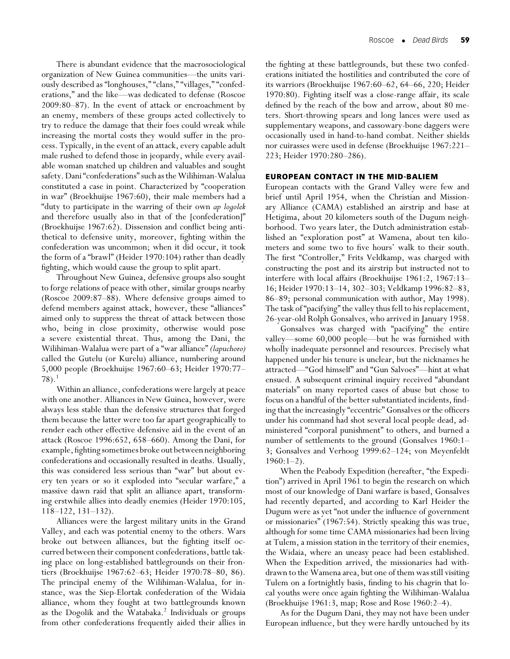There is abundant evidence that the macrosociological organization of New Guinea communities—the units variously described as "longhouses," "clans," "villages," "confederations," and the like—was dedicated to defense (Roscoe 2009:80–87). In the event of attack or encroachment by an enemy, members of these groups acted collectively to try to reduce the damage that their foes could wreak while increasing the mortal costs they would suffer in the process. Typically, in the event of an attack, every capable adult male rushed to defend those in jeopardy, while every available woman snatched up children and valuables and sought safety. Dani "confederations" such as the Wilihiman-Walalua constituted a case in point. Characterized by "cooperation in war" (Broekhuijse 1967:60), their male members had a "duty to participate in the warring of their own *ap logolek* and therefore usually also in that of the [confederation]" (Broekhuijse 1967:62). Dissension and conflict being antithetical to defensive unity, moreover, fighting within the confederation was uncommon; when it did occur, it took the form of a "brawl" (Heider 1970:104) rather than deadly fighting, which would cause the group to split apart.

Throughout New Guinea, defensive groups also sought to forge relations of peace with other, similar groups nearby (Roscoe 2009:87–88). Where defensive groups aimed to defend members against attack, however, these "alliances" aimed only to suppress the threat of attack between those who, being in close proximity, otherwise would pose a severe existential threat. Thus, among the Dani, the Wilihiman-Walalua were part of a "war alliance" *(lapuchoro)* called the Gutelu (or Kurelu) alliance, numbering around 5,000 people (Broekhuijse 1967:60–63; Heider 1970:77–  $78$ ).<sup>1</sup>

Within an alliance, confederations were largely at peace with one another. Alliances in New Guinea, however, were always less stable than the defensive structures that forged them because the latter were too far apart geographically to render each other effective defensive aid in the event of an attack (Roscoe 1996:652, 658–660). Among the Dani, for example, fighting sometimes broke out between neighboring confederations and occasionally resulted in deaths. Usually, this was considered less serious than "war" but about every ten years or so it exploded into "secular warfare," a massive dawn raid that split an alliance apart, transforming erstwhile allies into deadly enemies (Heider 1970:105, 118–122, 131–132).

Alliances were the largest military units in the Grand Valley, and each was potential enemy to the others. Wars broke out between alliances, but the fighting itself occurred between their component confederations, battle taking place on long-established battlegrounds on their frontiers (Broekhuijse 1967:62–63; Heider 1970:78–80, 86). The principal enemy of the Wilihiman-Walalua, for instance, was the Siep-Elortak confederation of the Widaia alliance, whom they fought at two battlegrounds known as the Dogolik and the Watabaka.<sup>2</sup> Individuals or groups from other confederations frequently aided their allies in

the fighting at these battlegrounds, but these two confederations initiated the hostilities and contributed the core of its warriors (Broekhuijse 1967:60–62, 64–66, 220; Heider 1970:80). Fighting itself was a close-range affair, its scale defined by the reach of the bow and arrow, about 80 meters. Short-throwing spears and long lances were used as supplementary weapons, and cassowary-bone daggers were occasionally used in hand-to-hand combat. Neither shields nor cuirasses were used in defense (Broekhuijse 1967:221– 223; Heider 1970:280–286).

#### **EUROPEAN CONTACT IN THE MID-BALIEM**

European contacts with the Grand Valley were few and brief until April 1954, when the Christian and Missionary Alliance (CAMA) established an airstrip and base at Hetigima, about 20 kilometers south of the Dugum neighborhood. Two years later, the Dutch administration established an "exploration post" at Wamena, about ten kilometers and some two to five hours' walk to their south. The first "Controller," Frits Veldkamp, was charged with constructing the post and its airstrip but instructed not to interfere with local affairs (Broekhuijse 1961:2, 1967:13– 16; Heider 1970:13–14, 302–303; Veldkamp 1996:82–83, 86–89; personal communication with author, May 1998). The task of "pacifying" the valley thus fell to his replacement, 26-year-old Rolph Gonsalves, who arrived in January 1958.

Gonsalves was charged with "pacifying" the entire valley—some 60,000 people—but he was furnished with wholly inadequate personnel and resources. Precisely what happened under his tenure is unclear, but the nicknames he attracted—"God himself" and "Gun Salvoes"—hint at what ensued. A subsequent criminal inquiry received "abundant materials" on many reported cases of abuse but chose to focus on a handful of the better substantiated incidents, finding that the increasingly "eccentric" Gonsalves or the officers under his command had shot several local people dead, administered "corporal punishment" to others, and burned a number of settlements to the ground (Gonsalves 1960:1– 3; Gonsalves and Verhoog 1999:62–124; von Meyenfeldt  $1960:1-2$ ).

When the Peabody Expedition (hereafter, "the Expedition") arrived in April 1961 to begin the research on which most of our knowledge of Dani warfare is based, Gonsalves had recently departed, and according to Karl Heider the Dugum were as yet "not under the influence of government or missionaries" (1967:54). Strictly speaking this was true, although for some time CAMA missionaries had been living at Tulem, a mission station in the territory of their enemies, the Widaia, where an uneasy peace had been established. When the Expedition arrived, the missionaries had withdrawn to the Wamena area, but one of them was still visiting Tulem on a fortnightly basis, finding to his chagrin that local youths were once again fighting the Wilihiman-Walalua (Broekhuijse 1961:3, map; Rose and Rose 1960:2–4).

As for the Dugum Dani, they may not have been under European influence, but they were hardly untouched by its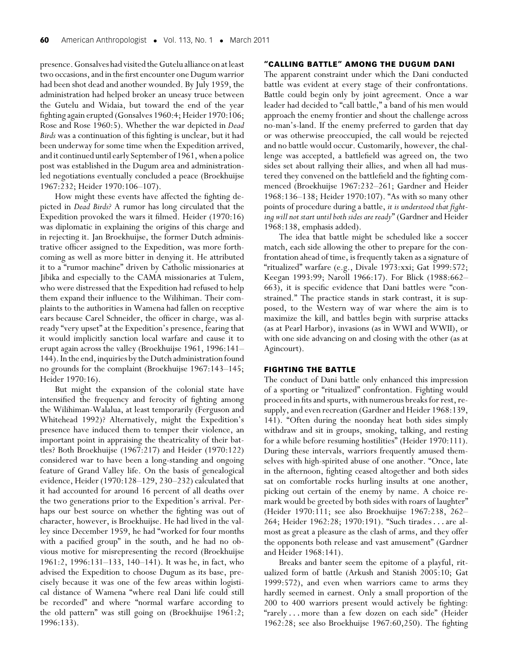presence. Gonsalves had visited the Gutelu alliance on at least two occasions, and in the first encounter one Dugum warrior had been shot dead and another wounded. By July 1959, the administration had helped broker an uneasy truce between the Gutelu and Widaia, but toward the end of the year fighting again erupted (Gonsalves 1960:4; Heider 1970:106; Rose and Rose 1960:5). Whether the war depicted in *Dead Birds* was a continuation of this fighting is unclear, but it had been underway for some time when the Expedition arrived, and it continued until early September of 1961, when a police post was established in the Dugum area and administrationled negotiations eventually concluded a peace (Broekhuijse 1967:232; Heider 1970:106–107).

How might these events have affected the fighting depicted in *Dead Birds?* A rumor has long circulated that the Expedition provoked the wars it filmed. Heider (1970:16) was diplomatic in explaining the origins of this charge and in rejecting it. Jan Broekhuijse, the former Dutch administrative officer assigned to the Expedition, was more forthcoming as well as more bitter in denying it. He attributed it to a "rumor machine" driven by Catholic missionaries at Jibika and especially to the CAMA missionaries at Tulem, who were distressed that the Expedition had refused to help them expand their influence to the Wilihiman. Their complaints to the authorities in Wamena had fallen on receptive ears because Carel Schneider, the officer in charge, was already "very upset" at the Expedition's presence, fearing that it would implicitly sanction local warfare and cause it to erupt again across the valley (Broekhuijse 1961, 1996:141– 144). Inthe end, inquiries bythe Dutch administration found no grounds for the complaint (Broekhuijse 1967:143–145; Heider 1970:16).

But might the expansion of the colonial state have intensified the frequency and ferocity of fighting among the Wilihiman-Walalua, at least temporarily (Ferguson and Whitehead 1992)? Alternatively, might the Expedition's presence have induced them to temper their violence, an important point in appraising the theatricality of their battles? Both Broekhuijse (1967:217) and Heider (1970:122) considered war to have been a long-standing and ongoing feature of Grand Valley life. On the basis of genealogical evidence, Heider (1970:128–129, 230–232) calculated that it had accounted for around 16 percent of all deaths over the two generations prior to the Expedition's arrival. Perhaps our best source on whether the fighting was out of character, however, is Broekhuijse. He had lived in the valley since December 1959, he had "worked for four months with a pacified group" in the south, and he had no obvious motive for misrepresenting the record (Broekhuijse 1961:2, 1996:131–133, 140–141). It was he, in fact, who advised the Expedition to choose Dugum as its base, precisely because it was one of the few areas within logistical distance of Wamena "where real Dani life could still be recorded" and where "normal warfare according to the old pattern" was still going on (Broekhuijse 1961:2; 1996:133).

# **"CALLING BATTLE" AMONG THE DUGUM DANI**

The apparent constraint under which the Dani conducted battle was evident at every stage of their confrontations. Battle could begin only by joint agreement. Once a war leader had decided to "call battle," a band of his men would approach the enemy frontier and shout the challenge across no-man's-land. If the enemy preferred to garden that day or was otherwise preoccupied, the call would be rejected and no battle would occur. Customarily, however, the challenge was accepted, a battlefield was agreed on, the two sides set about rallying their allies, and when all had mustered they convened on the battlefield and the fighting commenced (Broekhuijse 1967:232–261; Gardner and Heider 1968:136–138; Heider 1970:107). "As with so many other points of procedure during a battle, *it is understood that fighting will not start until both sides are ready*" (Gardner and Heider 1968:138, emphasis added).

The idea that battle might be scheduled like a soccer match, each side allowing the other to prepare for the confrontation ahead of time, is frequently taken as a signature of "ritualized" warfare (e.g., Divale 1973:xxi; Gat 1999:572; Keegan 1993:99; Naroll 1966:17). For Blick (1988:662– 663), it is specific evidence that Dani battles were "constrained." The practice stands in stark contrast, it is supposed, to the Western way of war where the aim is to maximize the kill, and battles begin with surprise attacks (as at Pearl Harbor), invasions (as in WWI and WWII), or with one side advancing on and closing with the other (as at Agincourt).

#### **FIGHTING THE BATTLE**

The conduct of Dani battle only enhanced this impression of a sporting or "ritualized" confrontation. Fighting would proceed in fits and spurts, with numerous breaks for rest, resupply, and even recreation (Gardner and Heider 1968:139, 141). "Often during the noonday heat both sides simply withdraw and sit in groups, smoking, talking, and resting for a while before resuming hostilities" (Heider 1970:111). During these intervals, warriors frequently amused themselves with high-spirited abuse of one another. "Once, late in the afternoon, fighting ceased altogether and both sides sat on comfortable rocks hurling insults at one another, picking out certain of the enemy by name. A choice remark would be greeted by both sides with roars of laughter" (Heider 1970:111; see also Broekhuijse 1967:238, 262– 264; Heider 1962:28; 1970:191). "Such tirades ...are almost as great a pleasure as the clash of arms, and they offer the opponents both release and vast amusement" (Gardner and Heider 1968:141).

Breaks and banter seem the epitome of a playful, ritualized form of battle (Arkush and Stanish 2005:10; Gat 1999:572), and even when warriors came to arms they hardly seemed in earnest. Only a small proportion of the 200 to 400 warriors present would actively be fighting: "rarely ... more than a few dozen on each side" (Heider 1962:28; see also Broekhuijse 1967:60,250). The fighting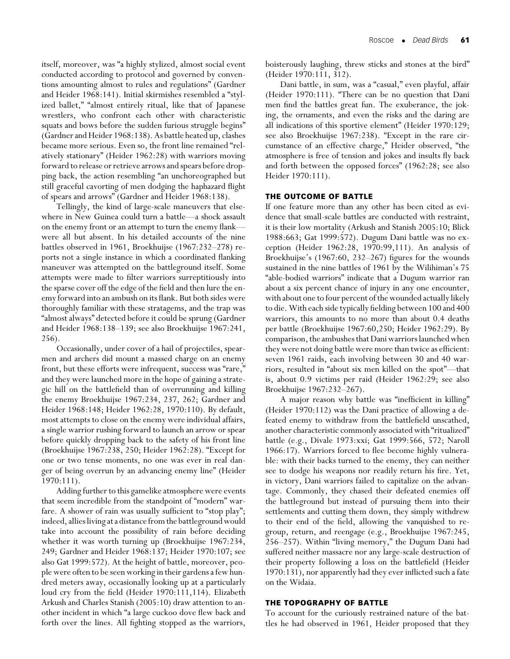itself, moreover, was "a highly stylized, almost social event conducted according to protocol and governed by conventions amounting almost to rules and regulations" (Gardner and Heider 1968:141). Initial skirmishes resembled a "stylized ballet," "almost entirely ritual, like that of Japanese wrestlers, who confront each other with characteristic squats and bows before the sudden furious struggle begins" (Gardner and Heider 1968:138). As battle heated up, clashes became more serious. Even so, the front line remained "relatively stationary" (Heider 1962:28) with warriors moving forward to release or retrieve arrows and spears before dropping back, the action resembling "an unchoreographed but still graceful cavorting of men dodging the haphazard flight of spears and arrows" (Gardner and Heider 1968:138).

Tellingly, the kind of large-scale maneuvers that elsewhere in New Guinea could turn a battle—a shock assault on the enemy front or an attempt to turn the enemy flank were all but absent. In his detailed accounts of the nine battles observed in 1961, Broekhuijse (1967:232–278) reports not a single instance in which a coordinated flanking maneuver was attempted on the battleground itself. Some attempts were made to filter warriors surreptitiously into the sparse cover off the edge of the field and then lure the enemy forward into an ambush on its flank. But both sides were thoroughly familiar with these stratagems, and the trap was "almost always" detected before it could be sprung (Gardner and Heider 1968:138–139; see also Broekhuijse 1967:241, 256).

Occasionally, under cover of a hail of projectiles, spearmen and archers did mount a massed charge on an enemy front, but these efforts were infrequent, success was "rare," and they were launched more in the hope of gaining a strategic hill on the battlefield than of overrunning and killing the enemy Broekhuijse 1967:234, 237, 262; Gardner and Heider 1968:148; Heider 1962:28, 1970:110). By default, most attempts to close on the enemy were individual affairs, a single warrior rushing forward to launch an arrow or spear before quickly dropping back to the safety of his front line (Broekhuijse 1967:238, 250; Heider 1962:28). "Except for one or two tense moments, no one was ever in real danger of being overrun by an advancing enemy line" (Heider 1970:111).

Adding further to this gamelike atmosphere were events that seem incredible from the standpoint of "modern" warfare. A shower of rain was usually sufficient to "stop play"; indeed, allies living at a distance from the battleground would take into account the possibility of rain before deciding whether it was worth turning up (Broekhuijse 1967:234, 249; Gardner and Heider 1968:137; Heider 1970:107; see also Gat 1999:572). At the height of battle, moreover, people were often to be seen working in their gardens a few hundred meters away, occasionally looking up at a particularly loud cry from the field (Heider 1970:111,114). Elizabeth Arkush and Charles Stanish (2005:10) draw attention to another incident in which "a large cuckoo dove flew back and forth over the lines. All fighting stopped as the warriors,

boisterously laughing, threw sticks and stones at the bird" (Heider 1970:111, 312).

Dani battle, in sum, was a "casual," even playful, affair (Heider 1970:111). "There can be no question that Dani men find the battles great fun. The exuberance, the joking, the ornaments, and even the risks and the daring are all indications of this sportive element" (Heider 1970:129; see also Broekhuijse 1967:238). "Except in the rare circumstance of an effective charge," Heider observed, "the atmosphere is free of tension and jokes and insults fly back and forth between the opposed forces" (1962:28; see also Heider 1970:111).

## **THE OUTCOME OF BATTLE**

If one feature more than any other has been cited as evidence that small-scale battles are conducted with restraint, it is their low mortality (Arkush and Stanish 2005:10; Blick 1988:663; Gat 1999:572). Dugum Dani battle was no exception (Heider 1962:28, 1970:99,111). An analysis of Broekhuijse's (1967:60, 232–267) figures for the wounds sustained in the nine battles of 1961 by the Wilihiman's 75 "able-bodied warriors" indicate that a Dugum warrior ran about a six percent chance of injury in any one encounter, with about one to four percent of the wounded actually likely to die. With each side typically fielding between 100 and 400 warriors, this amounts to no more than about 0.4 deaths per battle (Broekhuijse 1967:60,250; Heider 1962:29). By comparison, the ambushes that Dani warriors launched when they were not doing battle were more than twice as efficient: seven 1961 raids, each involving between 30 and 40 warriors, resulted in "about six men killed on the spot"—that is, about 0.9 victims per raid (Heider 1962:29; see also Broekhuijse 1967:232–267).

A major reason why battle was "inefficient in killing" (Heider 1970:112) was the Dani practice of allowing a defeated enemy to withdraw from the battlefield unscathed, another characteristic commonly associated with "ritualized" battle (e.g., Divale 1973:xxi; Gat 1999:566, 572; Naroll 1966:17). Warriors forced to flee become highly vulnerable: with their backs turned to the enemy, they can neither see to dodge his weapons nor readily return his fire. Yet, in victory, Dani warriors failed to capitalize on the advantage. Commonly, they chased their defeated enemies off the battleground but instead of pursuing them into their settlements and cutting them down, they simply withdrew to their end of the field, allowing the vanquished to regroup, return, and reengage (e.g., Broekhuijse 1967:245, 256–257). Within "living memory," the Dugum Dani had suffered neither massacre nor any large-scale destruction of their property following a loss on the battlefield (Heider 1970:131), nor apparently had they ever inflicted such a fate on the Widaia.

## **THE TOPOGRAPHY OF BATTLE**

To account for the curiously restrained nature of the battles he had observed in 1961, Heider proposed that they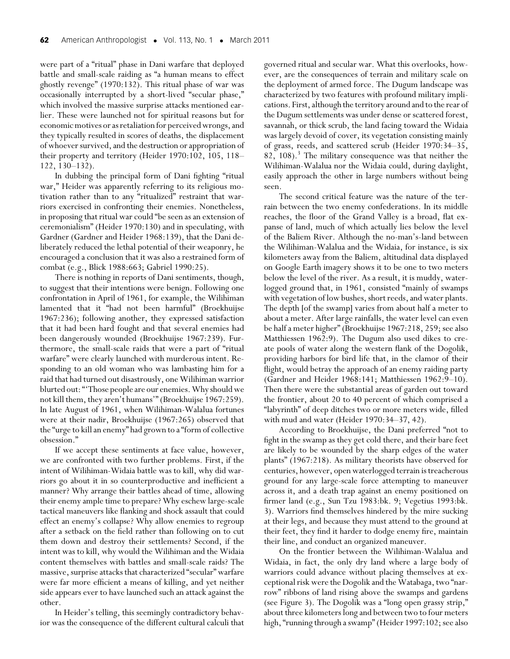were part of a "ritual" phase in Dani warfare that deployed battle and small-scale raiding as "a human means to effect ghostly revenge" (1970:132). This ritual phase of war was occasionally interrupted by a short-lived "secular phase," which involved the massive surprise attacks mentioned earlier. These were launched not for spiritual reasons but for economic motives or as retaliation for perceived wrongs, and they typically resulted in scores of deaths, the displacement of whoever survived, and the destruction or appropriation of their property and territory (Heider 1970:102, 105, 118– 122, 130–132).

In dubbing the principal form of Dani fighting "ritual war," Heider was apparently referring to its religious motivation rather than to any "ritualized" restraint that warriors exercised in confronting their enemies. Nonetheless, in proposing that ritual war could "be seen as an extension of ceremonialism" (Heider 1970:130) and in speculating, with Gardner (Gardner and Heider 1968:139), that the Dani deliberately reduced the lethal potential of their weaponry, he encouraged a conclusion that it was also a restrained form of combat (e.g., Blick 1988:663; Gabriel 1990:25).

There is nothing in reports of Dani sentiments, though, to suggest that their intentions were benign. Following one confrontation in April of 1961, for example, the Wilihiman lamented that it "had not been harmful" (Broekhuijse 1967:236); following another, they expressed satisfaction that it had been hard fought and that several enemies had been dangerously wounded (Broekhuijse 1967:239). Furthermore, the small-scale raids that were a part of "ritual warfare" were clearly launched with murderous intent. Responding to an old woman who was lambasting him for a raid that had turned out disastrously, one Wilihiman warrior blurted out: "'Those people are our enemies.Why should we not kill them, they aren't humans'" (Broekhuijse 1967:259). In late August of 1961, when Wilihiman-Walalua fortunes were at their nadir, Broekhuijse (1967:265) observed that the "urge to kill an enemy" had grown to a "form of collective obsession."

If we accept these sentiments at face value, however, we are confronted with two further problems. First, if the intent of Wilihiman-Widaia battle was to kill, why did warriors go about it in so counterproductive and inefficient a manner? Why arrange their battles ahead of time, allowing their enemy ample time to prepare? Why eschew large-scale tactical maneuvers like flanking and shock assault that could effect an enemy's collapse? Why allow enemies to regroup after a setback on the field rather than following on to cut them down and destroy their settlements? Second, if the intent was to kill, why would the Wilihiman and the Widaia content themselves with battles and small-scale raids? The massive, surprise attacks that characterized "secular" warfare were far more efficient a means of killing, and yet neither side appears ever to have launched such an attack against the other.

In Heider's telling, this seemingly contradictory behavior was the consequence of the different cultural calculi that governed ritual and secular war. What this overlooks, however, are the consequences of terrain and military scale on the deployment of armed force. The Dugum landscape was characterized by two features with profound military implications. First, although the territory around and to the rear of the Dugum settlements was under dense or scattered forest, savannah, or thick scrub, the land facing toward the Widaia was largely devoid of cover, its vegetation consisting mainly of grass, reeds, and scattered scrub (Heider 1970:34–35, 82, 108).<sup>3</sup> The military consequence was that neither the Wilihiman-Walalua nor the Widaia could, during daylight, easily approach the other in large numbers without being seen.

The second critical feature was the nature of the terrain between the two enemy confederations. In its middle reaches, the floor of the Grand Valley is a broad, flat expanse of land, much of which actually lies below the level of the Baliem River. Although the no-man's-land between the Wilihiman-Walalua and the Widaia, for instance, is six kilometers away from the Baliem, altitudinal data displayed on Google Earth imagery shows it to be one to two meters below the level of the river. As a result, it is muddy, waterlogged ground that, in 1961, consisted "mainly of swamps with vegetation of low bushes, short reeds, and water plants. The depth [of the swamp] varies from about half a meter to about a meter. After large rainfalls, the water level can even be half a meter higher" (Broekhuijse 1967:218, 259; see also Matthiessen 1962:9). The Dugum also used dikes to create pools of water along the western flank of the Dogolik, providing harbors for bird life that, in the clamor of their flight, would betray the approach of an enemy raiding party (Gardner and Heider 1968:141; Matthiessen 1962:9–10). Then there were the substantial areas of garden out toward the frontier, about 20 to 40 percent of which comprised a "labyrinth" of deep ditches two or more meters wide, filled with mud and water (Heider 1970:34–37, 42).

According to Broekhuijse, the Dani preferred "not to fight in the swamp as they get cold there, and their bare feet are likely to be wounded by the sharp edges of the water plants" (1967:218). As military theorists have observed for centuries, however, open waterlogged terrain is treacherous ground for any large-scale force attempting to maneuver across it, and a death trap against an enemy positioned on firmer land (e.g., Sun Tzu 1983:bk. 9; Vegetius 1993:bk. 3). Warriors find themselves hindered by the mire sucking at their legs, and because they must attend to the ground at their feet, they find it harder to dodge enemy fire, maintain their line, and conduct an organized maneuver.

On the frontier between the Wilihiman-Walalua and Widaia, in fact, the only dry land where a large body of warriors could advance without placing themselves at exceptional risk were the Dogolik and the Watabaga, two "narrow" ribbons of land rising above the swamps and gardens (see Figure 3). The Dogolik was a "long open grassy strip," about three kilometers long and between two to four meters high, "running through a swamp" (Heider 1997:102; see also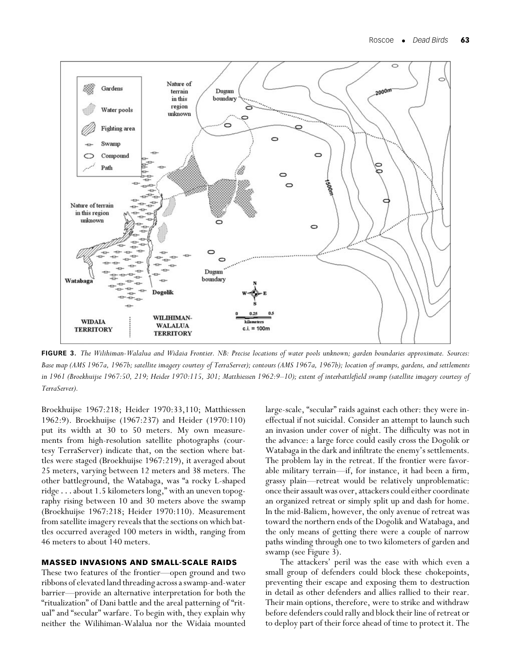

**FIGURE 3.** *The Wilihiman-Walalua and Widaia Frontier. NB: Precise locations of water pools unknown; garden boundaries approximate. Sources: Base map (AMS 1967a, 1967b; satellite imagery courtesy of TerraServer); contours (AMS 1967a, 1967b); location of swamps, gardens, and settlements in 1961 (Broekhuijse 1967:50, 219; Heider 1970:115, 301; Matthiessen 1962:9–10); extent of interbattlefield swamp (satellite imagery courtesy of TerraServer).*

Broekhuijse 1967:218; Heider 1970:33,110; Matthiessen 1962:9). Broekhuijse (1967:237) and Heider (1970:110) put its width at 30 to 50 meters. My own measurements from high-resolution satellite photographs (courtesy TerraServer) indicate that, on the section where battles were staged (Broekhuijse 1967:219), it averaged about 25 meters, varying between 12 meters and 38 meters. The other battleground, the Watabaga, was "a rocky L-shaped ridge ...about 1.5 kilometers long," with an uneven topography rising between 10 and 30 meters above the swamp (Broekhuijse 1967:218; Heider 1970:110). Measurement from satellite imagery reveals that the sections on which battles occurred averaged 100 meters in width, ranging from 46 meters to about 140 meters.

## **MASSED INVASIONS AND SMALL-SCALE RAIDS**

These two features of the frontier—open ground and two ribbons of elevated land threading across a swamp-and-water barrier—provide an alternative interpretation for both the "ritualization" of Dani battle and the areal patterning of "ritual" and "secular" warfare. To begin with, they explain why neither the Wilihiman-Walalua nor the Widaia mounted

large-scale, "secular" raids against each other: they were ineffectual if not suicidal. Consider an attempt to launch such an invasion under cover of night. The difficulty was not in the advance: a large force could easily cross the Dogolik or Watabaga in the dark and infiltrate the enemy's settlements. The problem lay in the retreat. If the frontier were favorable military terrain—if, for instance, it had been a firm, grassy plain—retreat would be relatively unproblematic: once their assault was over, attackers could either coordinate an organized retreat or simply split up and dash for home. In the mid-Baliem, however, the only avenue of retreat was toward the northern ends of the Dogolik and Watabaga, and the only means of getting there were a couple of narrow paths winding through one to two kilometers of garden and swamp (see Figure 3).

The attackers' peril was the ease with which even a small group of defenders could block these chokepoints, preventing their escape and exposing them to destruction in detail as other defenders and allies rallied to their rear. Their main options, therefore, were to strike and withdraw before defenders could rally and block their line of retreat or to deploy part of their force ahead of time to protect it. The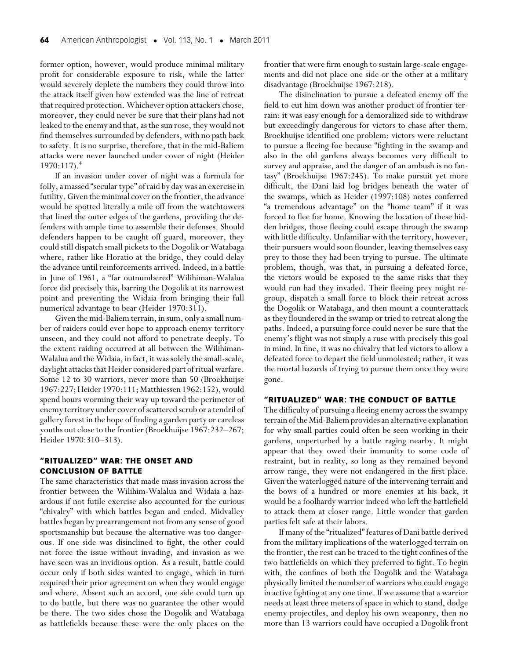former option, however, would produce minimal military profit for considerable exposure to risk, while the latter would severely deplete the numbers they could throw into the attack itself given how extended was the line of retreat that required protection. Whichever option attackers chose, moreover, they could never be sure that their plans had not leaked to the enemy and that, as the sun rose, they would not find themselves surrounded by defenders, with no path back to safety. It is no surprise, therefore, that in the mid-Baliem attacks were never launched under cover of night (Heider  $1970:117.$ <sup>4</sup>

If an invasion under cover of night was a formula for folly, a massed "secular type" of raid by day was an exercise in futility. Given the minimal cover on the frontier, the advance would be spotted literally a mile off from the watchtowers that lined the outer edges of the gardens, providing the defenders with ample time to assemble their defenses. Should defenders happen to be caught off guard, moreover, they could still dispatch small pickets to the Dogolik or Watabaga where, rather like Horatio at the bridge, they could delay the advance until reinforcements arrived. Indeed, in a battle in June of 1961, a "far outnumbered" Wilihiman-Walalua force did precisely this, barring the Dogolik at its narrowest point and preventing the Widaia from bringing their full numerical advantage to bear (Heider 1970:311).

Given the mid-Baliem terrain, in sum, only a small number of raiders could ever hope to approach enemy territory unseen, and they could not afford to penetrate deeply. To the extent raiding occurred at all between the Wilihiman-Walalua and the Widaia, in fact, it was solely the small-scale, daylight attacks that Heider considered part of ritual warfare. Some 12 to 30 warriors, never more than 50 (Broekhuijse 1967:227;Heider 1970:111;Matthiessen 1962:152),would spend hours worming their way up toward the perimeter of enemy territory under cover of scattered scrub or a tendril of gallery forest in the hope of finding a garden party or careless youths out close to the frontier (Broekhuijse 1967:232–267; Heider 1970:310–313).

## **"RITUALIZED" WAR: THE ONSET AND CONCLUSION OF BATTLE**

The same characteristics that made mass invasion across the frontier between the Wilihim-Walalua and Widaia a hazardous if not futile exercise also accounted for the curious "chivalry" with which battles began and ended. Midvalley battles began by prearrangement not from any sense of good sportsmanship but because the alternative was too dangerous. If one side was disinclined to fight, the other could not force the issue without invading, and invasion as we have seen was an invidious option. As a result, battle could occur only if both sides wanted to engage, which in turn required their prior agreement on when they would engage and where. Absent such an accord, one side could turn up to do battle, but there was no guarantee the other would be there. The two sides chose the Dogolik and Watabaga as battlefields because these were the only places on the frontier that were firm enough to sustain large-scale engagements and did not place one side or the other at a military disadvantage (Broekhuijse 1967:218).

The disinclination to pursue a defeated enemy off the field to cut him down was another product of frontier terrain: it was easy enough for a demoralized side to withdraw but exceedingly dangerous for victors to chase after them. Broekhuijse identified one problem: victors were reluctant to pursue a fleeing foe because "fighting in the swamp and also in the old gardens always becomes very difficult to survey and appraise, and the danger of an ambush is no fantasy" (Broekhuijse 1967:245). To make pursuit yet more difficult, the Dani laid log bridges beneath the water of the swamps, which as Heider (1997:108) notes conferred "a tremendous advantage" on the "home team" if it was forced to flee for home. Knowing the location of these hidden bridges, those fleeing could escape through the swamp with little difficulty. Unfamiliar with the territory, however, their pursuers would soon flounder, leaving themselves easy prey to those they had been trying to pursue. The ultimate problem, though, was that, in pursuing a defeated force, the victors would be exposed to the same risks that they would run had they invaded. Their fleeing prey might regroup, dispatch a small force to block their retreat across the Dogolik or Watabaga, and then mount a counterattack as they floundered in the swamp or tried to retreat along the paths. Indeed, a pursuing force could never be sure that the enemy's flight was not simply a ruse with precisely this goal in mind. In fine, it was no chivalry that led victors to allow a defeated force to depart the field unmolested; rather, it was the mortal hazards of trying to pursue them once they were gone.

#### **"RITUALIZED" WAR: THE CONDUCT OF BATTLE**

The difficulty of pursuing a fleeing enemy across the swampy terrain of the Mid-Baliem provides an alternative explanation for why small parties could often be seen working in their gardens, unperturbed by a battle raging nearby. It might appear that they owed their immunity to some code of restraint, but in reality, so long as they remained beyond arrow range, they were not endangered in the first place. Given the waterlogged nature of the intervening terrain and the bows of a hundred or more enemies at his back, it would be a foolhardy warrior indeed who left the battlefield to attack them at closer range. Little wonder that garden parties felt safe at their labors.

If many of the "ritualized" features of Dani battle derived from the military implications of the waterlogged terrain on the frontier, the rest can be traced to the tight confines of the two battlefields on which they preferred to fight. To begin with, the confines of both the Dogolik and the Watabaga physically limited the number of warriors who could engage in active fighting at any one time. If we assume that a warrior needs at least three meters of space in which to stand, dodge enemy projectiles, and deploy his own weaponry, then no more than 13 warriors could have occupied a Dogolik front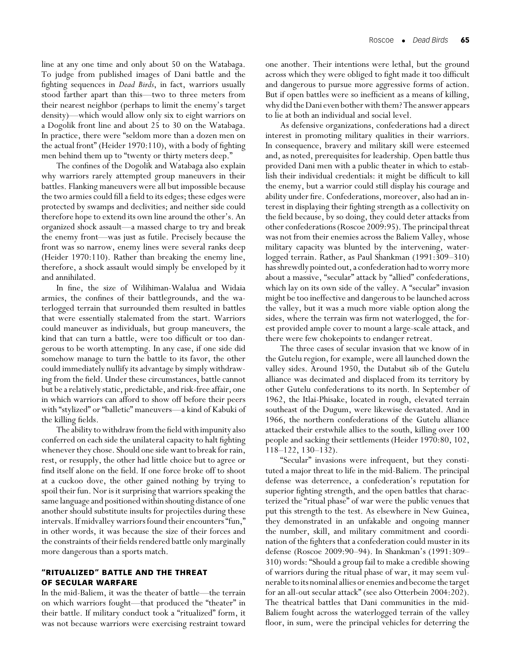line at any one time and only about 50 on the Watabaga. To judge from published images of Dani battle and the fighting sequences in *Dead Birds*, in fact, warriors usually stood farther apart than this—two to three meters from their nearest neighbor (perhaps to limit the enemy's target density)—which would allow only six to eight warriors on a Dogolik front line and about 25 to 30 on the Watabaga. In practice, there were "seldom more than a dozen men on the actual front" (Heider 1970:110), with a body of fighting men behind them up to "twenty or thirty meters deep."

The confines of the Dogolik and Watabaga also explain why warriors rarely attempted group maneuvers in their battles. Flanking maneuvers were all but impossible because the two armies could fill a field to its edges; these edges were protected by swamps and declivities; and neither side could therefore hope to extend its own line around the other's. An organized shock assault—a massed charge to try and break the enemy front—was just as futile. Precisely because the front was so narrow, enemy lines were several ranks deep (Heider 1970:110). Rather than breaking the enemy line, therefore, a shock assault would simply be enveloped by it and annihilated.

In fine, the size of Wilihiman-Walalua and Widaia armies, the confines of their battlegrounds, and the waterlogged terrain that surrounded them resulted in battles that were essentially stalemated from the start. Warriors could maneuver as individuals, but group maneuvers, the kind that can turn a battle, were too difficult or too dangerous to be worth attempting. In any case, if one side did somehow manage to turn the battle to its favor, the other could immediately nullify its advantage by simply withdrawing from the field. Under these circumstances, battle cannot but be a relatively static, predictable, and risk-free affair, one in which warriors can afford to show off before their peers with "stylized" or "balletic" maneuvers—a kind of Kabuki of the killing fields.

The ability to withdraw from the field with impunity also conferred on each side the unilateral capacity to halt fighting whenever they chose. Should one side want to break for rain, rest, or resupply, the other had little choice but to agree or find itself alone on the field. If one force broke off to shoot at a cuckoo dove, the other gained nothing by trying to spoil their fun. Nor is it surprising that warriors speaking the same language and positioned within shouting distance of one another should substitute insults for projectiles during these intervals. If midvalley warriors found their encounters "fun," in other words, it was because the size of their forces and the constraints of their fields rendered battle only marginally more dangerous than a sports match.

## **"RITUALIZED" BATTLE AND THE THREAT OF SECULAR WARFARE**

In the mid-Baliem, it was the theater of battle—the terrain on which warriors fought—that produced the "theater" in their battle. If military conduct took a "ritualized" form, it was not because warriors were exercising restraint toward one another. Their intentions were lethal, but the ground across which they were obliged to fight made it too difficult and dangerous to pursue more aggressive forms of action. But if open battles were so inefficient as a means of killing, why did the Dani even bother with them? The answer appears to lie at both an individual and social level.

As defensive organizations, confederations had a direct interest in promoting military qualities in their warriors. In consequence, bravery and military skill were esteemed and, as noted, prerequisites for leadership. Open battle thus provided Dani men with a public theater in which to establish their individual credentials: it might be difficult to kill the enemy, but a warrior could still display his courage and ability under fire. Confederations, moreover, also had an interest in displaying their fighting strength as a collectivity on the field because, by so doing, they could deter attacks from other confederations (Roscoe 2009:95). The principal threat was not from their enemies across the Baliem Valley, whose military capacity was blunted by the intervening, waterlogged terrain. Rather, as Paul Shankman (1991:309–310) has shrewdly pointed out, a confederation had to worry more about a massive, "secular" attack by "allied" confederations, which lay on its own side of the valley. A "secular" invasion might be too ineffective and dangerous to be launched across the valley, but it was a much more viable option along the sides, where the terrain was firm not waterlogged, the forest provided ample cover to mount a large-scale attack, and there were few chokepoints to endanger retreat.

The three cases of secular invasion that we know of in the Gutelu region, for example, were all launched down the valley sides. Around 1950, the Dutabut sib of the Gutelu alliance was decimated and displaced from its territory by other Gutelu confederations to its north. In September of 1962, the Itlai-Phisake, located in rough, elevated terrain southeast of the Dugum, were likewise devastated. And in 1966, the northern confederations of the Gutelu alliance attacked their erstwhile allies to the south, killing over 100 people and sacking their settlements (Heider 1970:80, 102, 118–122, 130–132).

"Secular" invasions were infrequent, but they constituted a major threat to life in the mid-Baliem. The principal defense was deterrence, a confederation's reputation for superior fighting strength, and the open battles that characterized the "ritual phase" of war were the public venues that put this strength to the test. As elsewhere in New Guinea, they demonstrated in an unfakable and ongoing manner the number, skill, and military commitment and coordination of the fighters that a confederation could muster in its defense (Roscoe 2009:90–94). In Shankman's (1991:309– 310) words: "Should a group fail to make a credible showing of warriors during the ritual phase of war, it may seem vulnerable to its nominal allies or enemies and become the target for an all-out secular attack" (see also Otterbein 2004:202). The theatrical battles that Dani communities in the mid-Baliem fought across the waterlogged terrain of the valley floor, in sum, were the principal vehicles for deterring the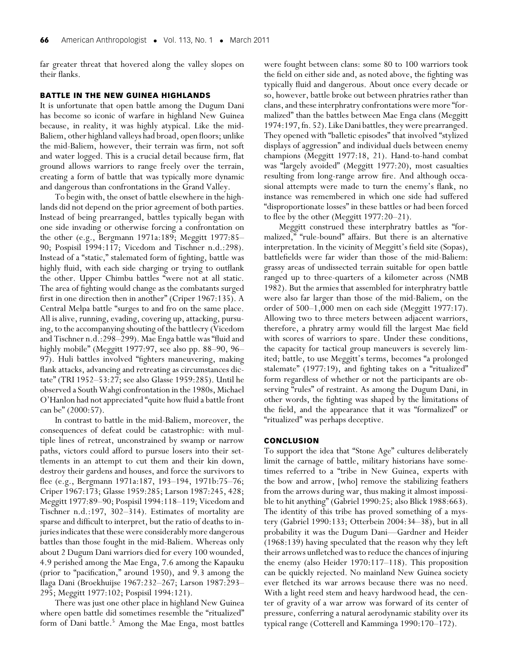far greater threat that hovered along the valley slopes on their flanks.

## **BATTLE IN THE NEW GUINEA HIGHLANDS**

It is unfortunate that open battle among the Dugum Dani has become so iconic of warfare in highland New Guinea because, in reality, it was highly atypical. Like the mid-Baliem, other highland valleys had broad, open floors; unlike the mid-Baliem, however, their terrain was firm, not soft and water logged. This is a crucial detail because firm, flat ground allows warriors to range freely over the terrain, creating a form of battle that was typically more dynamic and dangerous than confrontations in the Grand Valley.

To begin with, the onset of battle elsewhere in the highlands did not depend on the prior agreement of both parties. Instead of being prearranged, battles typically began with one side invading or otherwise forcing a confrontation on the other (e.g., Bergmann 1971a:189; Meggitt 1977:85– 90; Pospisil 1994:117; Vicedom and Tischner n.d.:298). Instead of a "static," stalemated form of fighting, battle was highly fluid, with each side charging or trying to outflank the other. Upper Chimbu battles "were not at all static. The area of fighting would change as the combatants surged first in one direction then in another" (Criper 1967:135). A Central Melpa battle "surges to and fro on the same place. All is alive, running, evading, covering up, attacking, pursuing, to the accompanying shouting of the battlecry (Vicedom and Tischner n.d.:298–299). Mae Enga battle was "fluid and highly mobile" (Meggitt 1977:97, see also pp. 88–90, 96– 97). Huli battles involved "fighters maneuvering, making flank attacks, advancing and retreating as circumstances dictate" (TRI 1952–53:27; see also Glasse 1959:285). Until he observed a South Wahgi confrontation in the 1980s, Michael O'Hanlon had not appreciated "quite how fluid a battle front can be" (2000:57).

In contrast to battle in the mid-Baliem, moreover, the consequences of defeat could be catastrophic: with multiple lines of retreat, unconstrained by swamp or narrow paths, victors could afford to pursue losers into their settlements in an attempt to cut them and their kin down, destroy their gardens and houses, and force the survivors to flee (e.g., Bergmann 1971a:187, 193–194, 1971b:75–76; Criper 1967:173; Glasse 1959:285; Larson 1987:245, 428; Meggitt 1977:89–90; Pospisil 1994:118–119; Vicedom and Tischner n.d.:197, 302–314). Estimates of mortality are sparse and difficult to interpret, but the ratio of deaths to injuries indicates that these were considerably more dangerous battles than those fought in the mid-Baliem. Whereas only about 2 Dugum Dani warriors died for every 100 wounded, 4.9 perished among the Mae Enga, 7.6 among the Kapauku (prior to "pacification," around 1950), and 9.3 among the Ilaga Dani (Broekhuijse 1967:232–267; Larson 1987:293– 295; Meggitt 1977:102; Pospisil 1994:121).

There was just one other place in highland New Guinea where open battle did sometimes resemble the "ritualized" form of Dani battle.<sup>5</sup> Among the Mae Enga, most battles

were fought between clans: some 80 to 100 warriors took the field on either side and, as noted above, the fighting was typically fluid and dangerous. About once every decade or so, however, battle broke out between phratries rather than clans, and these interphratry confrontations were more "formalized" than the battles between Mae Enga clans (Meggitt 1974:197, fn. 52). Like Dani battles, they were prearranged. They opened with "balletic episodes" that involved "stylized displays of aggression" and individual duels between enemy champions (Meggitt 1977:18, 21). Hand-to-hand combat was "largely avoided" (Meggitt 1977:20), most casualties resulting from long-range arrow fire. And although occasional attempts were made to turn the enemy's flank, no instance was remembered in which one side had suffered "disproportionate losses" in these battles or had been forced to flee by the other (Meggitt 1977:20–21).

Meggitt construed these interphratry battles as "formalized," "rule-bound" affairs. But there is an alternative interpretation. In the vicinity of Meggitt's field site (Sopas), battlefields were far wider than those of the mid-Baliem: grassy areas of undissected terrain suitable for open battle ranged up to three-quarters of a kilometer across (NMB 1982). But the armies that assembled for interphratry battle were also far larger than those of the mid-Baliem, on the order of 500–1,000 men on each side (Meggitt 1977:17). Allowing two to three meters between adjacent warriors, therefore, a phratry army would fill the largest Mae field with scores of warriors to spare. Under these conditions, the capacity for tactical group maneuvers is severely limited; battle, to use Meggitt's terms, becomes "a prolonged stalemate" (1977:19), and fighting takes on a "ritualized" form regardless of whether or not the participants are observing "rules" of restraint. As among the Dugum Dani, in other words, the fighting was shaped by the limitations of the field, and the appearance that it was "formalized" or "ritualized" was perhaps deceptive.

### **CONCLUSION**

To support the idea that "Stone Age" cultures deliberately limit the carnage of battle, military historians have sometimes referred to a "tribe in New Guinea, experts with the bow and arrow, [who] remove the stabilizing feathers from the arrows during war, thus making it almost impossible to hit anything" (Gabriel 1990:25; also Blick 1988:663). The identity of this tribe has proved something of a mystery (Gabriel 1990:133; Otterbein 2004:34–38), but in all probability it was the Dugum Dani—Gardner and Heider (1968:139) having speculated that the reason why they left their arrows unfletched was to reduce the chances of injuring the enemy (also Heider 1970:117–118). This proposition can be quickly rejected. No mainland New Guinea society ever fletched its war arrows because there was no need. With a light reed stem and heavy hardwood head, the center of gravity of a war arrow was forward of its center of pressure, conferring a natural aerodynamic stability over its typical range (Cotterell and Kamminga 1990:170–172).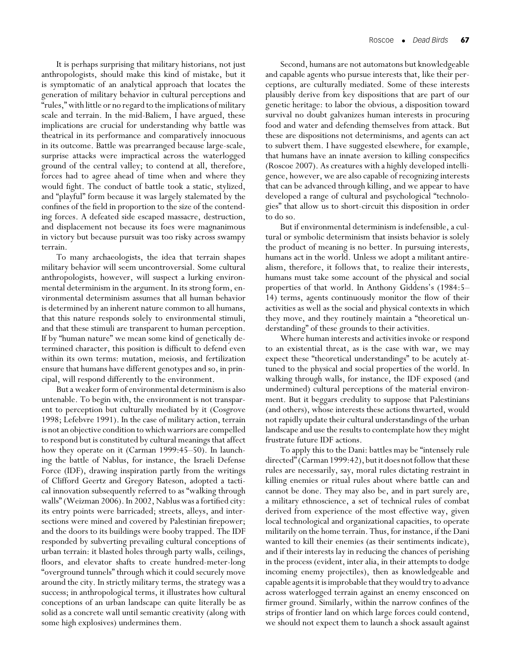It is perhaps surprising that military historians, not just anthropologists, should make this kind of mistake, but it is symptomatic of an analytical approach that locates the generation of military behavior in cultural perceptions and "rules," with little or no regard to the implications of military scale and terrain. In the mid-Baliem, I have argued, these implications are crucial for understanding why battle was theatrical in its performance and comparatively innocuous in its outcome. Battle was prearranged because large-scale, surprise attacks were impractical across the waterlogged ground of the central valley; to contend at all, therefore, forces had to agree ahead of time when and where they would fight. The conduct of battle took a static, stylized, and "playful" form because it was largely stalemated by the confines of the field in proportion to the size of the contending forces. A defeated side escaped massacre, destruction, and displacement not because its foes were magnanimous in victory but because pursuit was too risky across swampy terrain.

To many archaeologists, the idea that terrain shapes military behavior will seem uncontroversial. Some cultural anthropologists, however, will suspect a lurking environmental determinism in the argument. In its strong form, environmental determinism assumes that all human behavior is determined by an inherent nature common to all humans, that this nature responds solely to environmental stimuli, and that these stimuli are transparent to human perception. If by "human nature" we mean some kind of genetically determined character, this position is difficult to defend even within its own terms: mutation, meiosis, and fertilization ensure that humans have different genotypes and so, in principal, will respond differently to the environment.

But a weaker form of environmental determinism is also untenable. To begin with, the environment is not transparent to perception but culturally mediated by it (Cosgrove 1998; Lefebvre 1991). In the case of military action, terrain is not an objective condition to which warriors are compelled to respond but is constituted by cultural meanings that affect how they operate on it (Carman 1999:45–50). In launching the battle of Nablus, for instance, the Israeli Defense Force (IDF), drawing inspiration partly from the writings of Clifford Geertz and Gregory Bateson, adopted a tactical innovation subsequently referred to as "walking through walls" (Weizman 2006). In 2002, Nablus was a fortified city: its entry points were barricaded; streets, alleys, and intersections were mined and covered by Palestinian firepower; and the doors to its buildings were booby trapped. The IDF responded by subverting prevailing cultural conceptions of urban terrain: it blasted holes through party walls, ceilings, floors, and elevator shafts to create hundred-meter-long "overground tunnels" through which it could securely move around the city. In strictly military terms, the strategy was a success; in anthropological terms, it illustrates how cultural conceptions of an urban landscape can quite literally be as solid as a concrete wall until semantic creativity (along with some high explosives) undermines them.

Second, humans are not automatons but knowledgeable and capable agents who pursue interests that, like their perceptions, are culturally mediated. Some of these interests plausibly derive from key dispositions that are part of our genetic heritage: to labor the obvious, a disposition toward survival no doubt galvanizes human interests in procuring food and water and defending themselves from attack. But these are dispositions not determinisms, and agents can act to subvert them. I have suggested elsewhere, for example, that humans have an innate aversion to killing conspecifics (Roscoe 2007). As creatures with a highly developed intelligence, however, we are also capable of recognizing interests that can be advanced through killing, and we appear to have developed a range of cultural and psychological "technologies" that allow us to short-circuit this disposition in order to do so.

But if environmental determinism is indefensible, a cultural or symbolic determinism that insists behavior is solely the product of meaning is no better. In pursuing interests, humans act in the world. Unless we adopt a militant antirealism, therefore, it follows that, to realize their interests, humans must take some account of the physical and social properties of that world. In Anthony Giddens's (1984:5– 14) terms, agents continuously monitor the flow of their activities as well as the social and physical contexts in which they move, and they routinely maintain a "theoretical understanding" of these grounds to their activities.

Where human interests and activities invoke or respond to an existential threat, as is the case with war, we may expect these "theoretical understandings" to be acutely attuned to the physical and social properties of the world. In walking through walls, for instance, the IDF exposed (and undermined) cultural perceptions of the material environment. But it beggars credulity to suppose that Palestinians (and others), whose interests these actions thwarted, would not rapidly update their cultural understandings of the urban landscape and use the results to contemplate how they might frustrate future IDF actions.

To apply this to the Dani: battles may be "intensely rule directed" (Carman 1999:42), but it does not follow that these rules are necessarily, say, moral rules dictating restraint in killing enemies or ritual rules about where battle can and cannot be done. They may also be, and in part surely are, a military ethnoscience, a set of technical rules of combat derived from experience of the most effective way, given local technological and organizational capacities, to operate militarily on the home terrain. Thus, for instance, if the Dani wanted to kill their enemies (as their sentiments indicate), and if their interests lay in reducing the chances of perishing in the process (evident, inter alia, in their attempts to dodge incoming enemy projectiles), then as knowledgeable and capable agents it is improbable that they would try to advance across waterlogged terrain against an enemy ensconced on firmer ground. Similarly, within the narrow confines of the strips of frontier land on which large forces could contend, we should not expect them to launch a shock assault against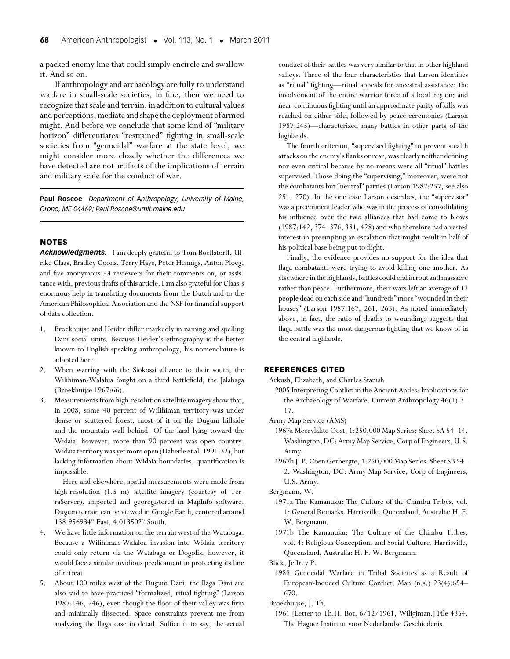a packed enemy line that could simply encircle and swallow it. And so on.

If anthropology and archaeology are fully to understand warfare in small-scale societies, in fine, then we need to recognize that scale and terrain, in addition to cultural values and perceptions, mediate and shape the deployment of armed might. And before we conclude that some kind of "military horizon" differentiates "restrained" fighting in small-scale societies from "genocidal" warfare at the state level, we might consider more closely whether the differences we have detected are not artifacts of the implications of terrain and military scale for the conduct of war.

**Paul Roscoe** *Department of Anthropology, University of Maine, Orono, ME 04469; Paul.Roscoe@umit.maine.edu*

## **NOTES**

*Acknowledgments.* I am deeply grateful to Tom Boellstorff, Ulrike Claas, Bradley Coons, Terry Hays, Peter Hennigs, Anton Ploeg, and five anonymous *AA* reviewers for their comments on, or assistance with, previous drafts of this article. I am also grateful for Claas's enormous help in translating documents from the Dutch and to the American Philosophical Association and the NSF for financial support of data collection.

- 1. Broekhuijse and Heider differ markedly in naming and spelling Dani social units. Because Heider's ethnography is the better known to English-speaking anthropology, his nomenclature is adopted here.
- 2. When warring with the Siokossi alliance to their south, the Wilihiman-Walalua fought on a third battlefield, the Jalabaga (Broekhuijse 1967:66).
- 3. Measurements from high-resolution satellite imagery show that, in 2008, some 40 percent of Wilihiman territory was under dense or scattered forest, most of it on the Dugum hillside and the mountain wall behind. Of the land lying toward the Widaia, however, more than 90 percent was open country. Widaiaterritory was yet more open (Haberle et al. 1991:32), but lacking information about Widaia boundaries, quantification is impossible.

Here and elsewhere, spatial measurements were made from high-resolution (1.5 m) satellite imagery (courtesy of TerraServer), imported and georegistered in MapInfo software. Dugum terrain can be viewed in Google Earth, centered around 138.956934◦ East, 4.013502◦ South.

- 4. We have little information on the terrain west of the Watabaga. Because a Wilihiman-Walaloa invasion into Widaia territory could only return via the Watabaga or Dogolik, however, it would face a similar invidious predicament in protecting its line of retreat.
- 5. About 100 miles west of the Dugum Dani, the Ilaga Dani are also said to have practiced "formalized, ritual fighting" (Larson 1987:146, 246), even though the floor of their valley was firm and minimally dissected. Space constraints prevent me from analyzing the Ilaga case in detail. Suffice it to say, the actual

conduct of their battles was very similar to that in other highland valleys. Three of the four characteristics that Larson identifies as "ritual" fighting—ritual appeals for ancestral assistance; the involvement of the entire warrior force of a local region; and near-continuous fighting until an approximate parity of kills was reached on either side, followed by peace ceremonies (Larson 1987:245)—characterized many battles in other parts of the highlands.

The fourth criterion, "supervised fighting" to prevent stealth attacks on the enemy's flanks or rear, was clearly neither defining nor even critical because by no means were all "ritual" battles supervised. Those doing the "supervising," moreover, were not the combatants but "neutral" parties (Larson 1987:257, see also 251, 270). In the one case Larson describes, the "supervisor" was a preeminent leader who was in the process of consolidating his influence over the two alliances that had come to blows (1987:142, 374–376, 381, 428) and who therefore had a vested interest in preempting an escalation that might result in half of his political base being put to flight.

Finally, the evidence provides no support for the idea that Ilaga combatants were trying to avoid killing one another. As elsewhere inthe highlands, battles could end in rout and massacre rather than peace. Furthermore, their wars left an average of 12 people dead on each side and "hundreds" more "wounded in their houses" (Larson 1987:167, 261, 263). As noted immediately above, in fact, the ratio of deaths to woundings suggests that Ilaga battle was the most dangerous fighting that we know of in the central highlands.

## **REFERENCES CITED**

Arkush, Elizabeth, and Charles Stanish

- 2005 Interpreting Conflict in the Ancient Andes: Implications for the Archaeology of Warfare. Current Anthropology 46(1):3– 17.
- Army Map Service (AMS)

1967a Meervlakte Oost, 1:250,000 Map Series: Sheet SA 54–14. Washington, DC: Army Map Service, Corp of Engineers, U.S. Army.

- 1967b J. P. Coen Gerbergte, 1:250,000 Map Series: Sheet SB 54– 2. Washington, DC: Army Map Service, Corp of Engineers, U.S. Army.
- Bergmann, W.
	- 1971a The Kamanuku: The Culture of the Chimbu Tribes, vol. 1: General Remarks. Harrisville, Queensland, Australia: H. F. W. Bergmann.
	- 1971b The Kamanuku: The Culture of the Chimbu Tribes, vol. 4: Religious Conceptions and Social Culture. Harrisville, Queensland, Australia: H. F. W. Bergmann.

Blick, Jeffrey P.

- 1988 Genocidal Warfare in Tribal Societies as a Result of European-Induced Culture Conflict. Man (n.s.) 23(4):654– 670.
- Broekhuijse, J. Th.
	- 1961 [Letter to Th.H. Bot, 6/12/1961, Wiligiman.] File 4354. The Hague: Instituut voor Nederlandse Geschiedenis.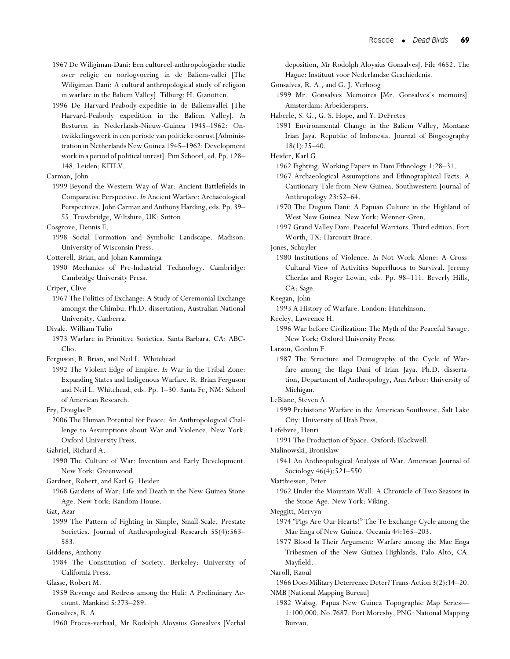- 1967 De Wiligiman-Dani: Een cultureel-anthropologische studie over religie en oorlogvoering in de Baliem-vallei [The Wiligiman Dani: A cultural anthropological study of religion in warfare in the Baliem Valley]. Tilburg: H. Gianotten.
- 1996 De Harvard-Peabody-expeditie in de Baliemvallei [The Harvard-Peabody expedition in the Baliem Valley]. *In* Besturen in Nederlands-Nieuw-Guinea 1945–1962: Ontwikkelingswerk in een periode van politieke onrust [Administration in Netherlands New Guinea 1945–1962: Development work in a period of political unrest]. Pim Schoorl, ed. Pp. 128– 148. Leiden: KITLV.

- 1999 Beyond the Western Way of War: Ancient Battlefields in Comparative Perspective. *In* Ancient Warfare: Archaeological Perspectives. John Carman and Anthony Harding, eds. Pp. 39– 55. Trowbridge, Wiltshire, UK: Sutton.
- Cosgrove, Dennis E.
- 1998 Social Formation and Symbolic Landscape. Madison: University of Wisconsin Press.
- Cotterell, Brian, and Johan Kamminga
- 1990 Mechanics of Pre-Industrial Technology. Cambridge: Cambridge University Press.
- Criper, Clive
	- 1967 The Politics of Exchange: A Study of Ceremonial Exchange amongst the Chimbu. Ph.D. dissertation, Australian National University, Canberra.
- Divale, William Tulio
	- 1973 Warfare in Primitive Societies. Santa Barbara, CA: ABC-Clio.
- Ferguson, R. Brian, and Neil L. Whitehead
- 1992 The Violent Edge of Empire. *In* War in the Tribal Zone: Expanding States and Indigenous Warfare. R. Brian Ferguson and Neil L. Whitehead, eds. Pp. 1–30. Santa Fe, NM: School of American Research.
- Fry, Douglas P.
	- 2006 The Human Potential for Peace: An Anthropological Challenge to Assumptions about War and Violence. New York: Oxford University Press.
- Gabriel, Richard A.
	- 1990 The Culture of War: Invention and Early Development. New York: Greenwood.
- Gardner, Robert, and Karl G. Heider
	- 1968 Gardens of War: Life and Death in the New Guinea Stone Age. New York: Random House.
- Gat, Azar
	- 1999 The Pattern of Fighting in Simple, Small-Scale, Prestate Societies. Journal of Anthropological Research 55(4):563– 583.
- Giddens, Anthony
	- 1984 The Constitution of Society. Berkeley: University of California Press.
- Glasse, Robert M.
	- 1959 Revenge and Redress among the Huli: A Preliminary Account. Mankind 5:273–289.

Gonsalves, R. A.

1960 Proces-verbaal, Mr Rodolph Aloysius Gonsalves [Verbal

deposition, Mr Rodolph Aloysius Gonsalves]. File 4652. The Hague: Instituut voor Nederlandse Geschiedenis.

- Gonsalves, R. A., and G. J. Verhoog
	- 1999 Mr. Gonsalves Memoires [Mr. Gonsalves's memoirs]. Amsterdam: Arbeiderspers.
- Haberle, S. G., G. S. Hope, and Y. DeFretes
	- 1991 Environmental Change in the Baliem Valley, Montane Irian Jaya, Republic of Indonesia. Journal of Biogeography 18(1):25–40.
- Heider, Karl G.
	- 1962 Fighting. Working Papers in Dani Ethnology 1:28–31.
	- 1967 Archaeological Assumptions and Ethnographical Facts: A Cautionary Tale from New Guinea. Southwestern Journal of Anthropology 23:52–64.
	- 1970 The Dugum Dani: A Papuan Culture in the Highland of West New Guinea. New York: Wenner-Gren.
	- 1997 Grand Valley Dani: Peaceful Warriors. Third edition. Fort Worth, TX: Harcourt Brace.
- Jones, Schuyler
	- 1980 Institutions of Violence. *In* Not Work Alone: A Cross-Cultural View of Activities Superfluous to Survival. Jeremy Cherfas and Roger Lewin, eds. Pp. 98–111. Beverly Hills, CA: Sage.

Keegan, John

- 1993 A History of Warfare. London: Hutchinson.
- Keeley, Lawrence H.
	- 1996 War before Civilization: The Myth of the Peaceful Savage. New York: Oxford University Press.
- Larson, Gordon F.
	- 1987 The Structure and Demography of the Cycle of Warfare among the Ilaga Dani of Irian Jaya. Ph.D. dissertation, Department of Anthropology, Ann Arbor: University of Michigan.
- LeBlanc, Steven A.
	- 1999 Prehistoric Warfare in the American Southwest. Salt Lake City: University of Utah Press.
- Lefebvre, Henri
	- 1991 The Production of Space. Oxford: Blackwell.
- Malinowski, Bronislaw
	- 1941 An Anthropological Analysis of War. American Journal of Sociology 46(4):521–550.
- Matthiessen, Peter
	- 1962 Under the Mountain Wall: A Chronicle of Two Seasons in the Stone-Age. New York: Viking.
- Meggitt, Mervyn
	- 1974 "Pigs Are Our Hearts!" The Te Exchange Cycle among the Mae Enga of New Guinea. Oceania 44:165–203.
	- 1977 Blood Is Their Argument: Warfare among the Mae Enga Tribesmen of the New Guinea Highlands. Palo Alto, CA: Mayfield.
- Naroll, Raoul
- 1966 Does Military Deterrence Deter? Trans-Action 3(2):14–20.
- NMB [National Mapping Bureau]
	- 1982 Wabag. Papua New Guinea Topographic Map Series— 1:100,000. No.7687. Port Moresby, PNG: National Mapping Bureau.

Carman, John